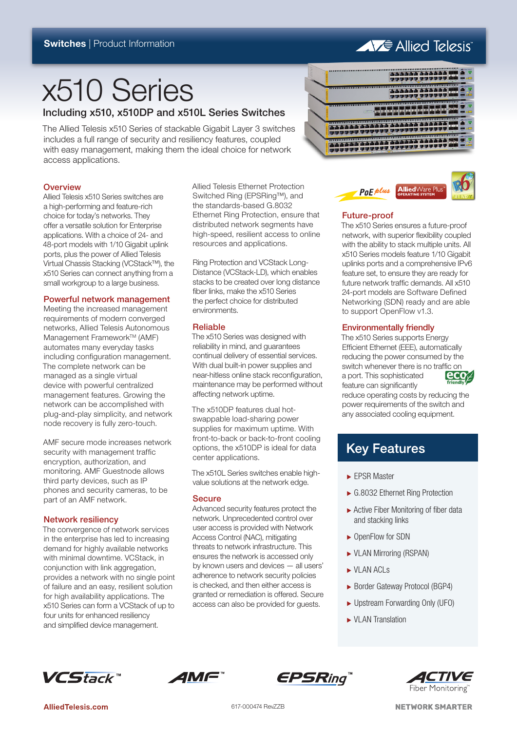# **AVE Allied Telesis**

# x510 Series

Including x510, x510DP and x510L Series Switches

The Allied Telesis x510 Series of stackable Gigabit Layer 3 switches includes a full range of security and resiliency features, coupled with easy management, making them the ideal choice for network access applications.

### **Overview**

Allied Telesis x510 Series switches are a high-performing and feature-rich choice for today's networks. They offer a versatile solution for Enterprise applications. With a choice of 24- and 48-port models with 1/10 Gigabit uplink ports, plus the power of Allied Telesis Virtual Chassis Stacking (VCStack™), the x510 Series can connect anything from a small workgroup to a large business.

### Powerful network management

Meeting the increased management requirements of modern converged networks, Allied Telesis Autonomous Management Framework™ (AMF) automates many everyday tasks including configuration management. The complete network can be managed as a single virtual device with powerful centralized management features. Growing the network can be accomplished with plug-and-play simplicity, and network node recovery is fully zero-touch.

AMF secure mode increases network security with management traffic encryption, authorization, and monitoring. AMF Guestnode allows third party devices, such as IP phones and security cameras, to be part of an AMF network.

### Network resiliency

The convergence of network services in the enterprise has led to increasing demand for highly available networks with minimal downtime. VCStack, in conjunction with link aggregation. provides a network with no single point of failure and an easy, resilient solution for high availability applications. The x510 Series can form a VCStack of up to four units for enhanced resiliency and simplified device management.

Allied Telesis Ethernet Protection Switched Ring (EPSRing™), and the standards-based G.8032 Ethernet Ring Protection, ensure that distributed network segments have high-speed, resilient access to online resources and applications.

Ring Protection and VCStack Long-Distance (VCStack-LD), which enables stacks to be created over long distance fiber links, make the x510 Series the perfect choice for distributed environments.

### Reliable

The x510 Series was designed with reliability in mind, and guarantees continual delivery of essential services. With dual built-in power supplies and near-hitless online stack reconfiguration, maintenance may be performed without affecting network uptime.

The x510DP features dual hotswappable load-sharing power supplies for maximum uptime. With front-to-back or back-to-front cooling options, the x510DP is ideal for data center applications.

The x510L Series switches enable highvalue solutions at the network edge.

### **Secure**

Advanced security features protect the network. Unprecedented control over user access is provided with Network Access Control (NAC), mitigating threats to network infrastructure. This ensures the network is accessed only by known users and devices — all users' adherence to network security policies is checked, and then either access is granted or remediation is offered. Secure access can also be provided for guests.





### Future-proof

The x510 Series ensures a future-proof network, with superior flexibility coupled with the ability to stack multiple units. All x510 Series models feature 1/10 Gigabit uplinks ports and a comprehensive IPv6 feature set, to ensure they are ready for future network traffic demands. All x510 24-port models are Software Defined Networking (SDN) ready and are able to support OpenFlow v1.3.

### Environmentally friendly

The x510 Series supports Energy Efficient Ethernet (EEE), automatically reducing the power consumed by the switch whenever there is no traffic on<br>a port. This sophisticated **eco** a port. This sophisticated feature can significantly

reduce operating costs by reducing the power requirements of the switch and any associated cooling equipment.

# **Key Features**

- EPSR Master
- ► G.8032 Ethernet Ring Protection
- $\blacktriangleright$  Active Fiber Monitoring of fiber data and stacking links
- ▶ OpenFlow for SDN
- ۼ VLAN Mirroring (RSPAN)
- ► VLAN ACLS
- ► Border Gateway Protocol (BGP4)
- ► Upstream Forwarding Only (UFO)
- ▶ VI AN Translation







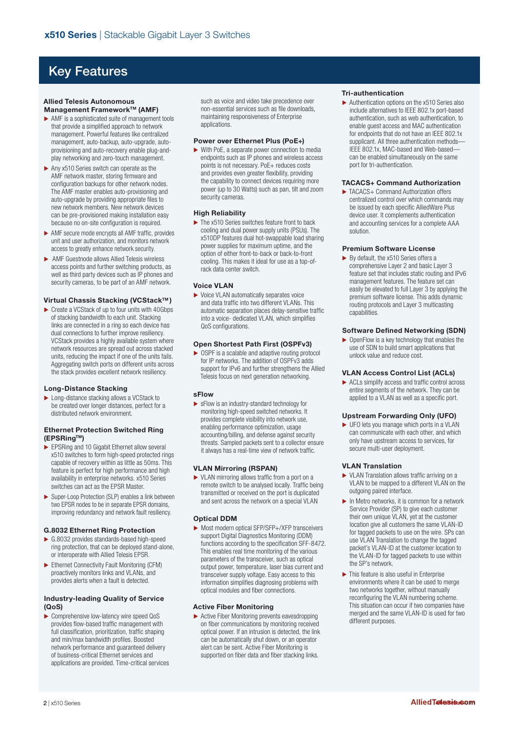# Key Features

#### **Allied Telesis Autonomous Management Framework™ (AMF)**

- $\blacktriangleright$  AMF is a sophisticated suite of management tools that provide a simplified approach to network management. Powerful features like centralized management, auto-backup, auto-upgrade, autoprovisioning and auto-recovery enable plug-andplay networking and zero-touch management.
- $\blacktriangleright$  Any x510 Series switch can operate as the AMF network master, storing firmware and configuration backups for other network nodes. The AMF master enables auto-provisioning and auto-upgrade by providing appropriate files to new network members. New network devices can be pre-provisioned making installation easy because no on-site configuration is required.
- ۼ AMF secure mode encrypts all AMF traffic, provides unit and user authorization, and monitors network access to greatly enhance network security.
- ۼ AMF Guestnode allows Allied Telesis wireless access points and further switching products, as well as third party devices such as IP phones and security cameras, to be part of an AMF network.

### **Virtual Chassis Stacking (VCStackTM )**

 $\triangleright$  Create a VCStack of up to four units with 40Gbps of stacking bandwidth to each unit. Stacking links are connected in a ring so each device has dual connections to further improve resiliency. VCStack provides a highly available system where network resources are spread out across stacked units, reducing the impact if one of the units fails. Aggregating switch ports on different units across the stack provides excellent network resiliency.

### **Long-Distance Stacking**

▶ Long-distance stacking allows a VCStack to be created over longer distances, perfect for a distributed network environment.

#### **Ethernet Protection Switched Ring (EPSRingTM)**

- **EPSRing and 10 Gigabit Ethernet allow several** x510 switches to form high-speed protected rings capable of recovery within as little as 50ms. This feature is perfect for high performance and high availability in enterprise networks. x510 Series switches can act as the EPSR Master.
- ▶ Super-Loop Protection (SLP) enables a link between two EPSR nodes to be in separate EPSR domains, improving redundancy and network fault resiliency.

### **G.8032 Ethernet Ring Protection**

- ۼ G.8032 provides standards-based high-speed ring protection, that can be deployed stand-alone, or interoperate with Allied Telesis EPSR.
- ▶ Ethernet Connectivity Fault Monitoring (CFM) proactively monitors links and VLANs, and provides alerts when a fault is detected.

### **Industry-leading Quality of Service (QoS)**

▶ Comprehensive low-latency wire speed QoS provides flow-based traffic management with full classification, prioritization, traffic shaping and min/max bandwidth profiles. Boosted network performance and guaranteed delivery of business-critical Ethernet services and applications are provided. Time-critical services such as voice and video take precedence over non-essential services such as file downloads, maintaining responsiveness of Enterprise applications.

#### **Power over Ethernet Plus (PoE+)**

 $\triangleright$  With PoE, a separate power connection to media endpoints such as IP phones and wireless access points is not necessary. PoE+ reduces costs and provides even greater flexibility, providing the capability to connect devices requiring more power (up to 30 Watts) such as pan, tilt and zoom security cameras.

#### **High Reliability**

 $\blacktriangleright$  The x510 Series switches feature front to back cooling and dual power supply units (PSUs). The x510DP features dual hot-swappable load sharing power supplies for maximum uptime, and the option of either front-to-back or back-to-front cooling. This makes it ideal for use as a top-ofrack data center switch.

### **Voice VLAN**

 $\blacktriangleright$  Voice VLAN automatically separates voice and data traffic into two different VLANs. This automatic separation places delay-sensitive traffic into a voice- dedicated VLAN, which simplifies QoS configurations.

### **Open Shortest Path First (OSPFv3)**

 $\triangleright$  OSPF is a scalable and adaptive routing protocol for IP networks. The addition of OSPFv3 adds support for IPv6 and further strengthens the Allied Telesis focus on next generation networking.

### **sFlow**

ۼ sFlow is an industry-standard technology for monitoring high-speed switched networks. It provides complete visibility into network use, enabling performance optimization, usage accounting/billing, and defense against security threats. Sampled packets sent to a collector ensure it always has a real-time view of network traffic.

### **VLAN Mirroring (RSPAN)**

▶ VLAN mirroring allows traffic from a port on a remote switch to be analysed locally. Traffic being transmitted or received on the port is duplicated and sent across the network on a special VLAN

### **Optical DDM**

▶ Most modern optical SFP/SFP+/XFP transceivers support Digital Diagnostics Monitoring (DDM) functions according to the specification SFF-8472. This enables real time monitoring of the various parameters of the transceiver, such as optical output power, temperature, laser bias current and transceiver supply voltage. Easy access to this information simplifies diagnosing problems with optical modules and fiber connections.

### **Active Fiber Monitoring**

▶ Active Fiber Monitoring prevents eavesdropping on fiber communications by monitoring received optical power. If an intrusion is detected, the link can be automatically shut down, or an operator alert can be sent. Active Fiber Monitoring is supported on fiber data and fiber stacking links.

#### **Tri-authentication**

 $\blacktriangleright$  Authentication options on the x510 Series also include alternatives to IEEE 802.1x port-based authentication, such as web authentication, to enable guest access and MAC authentication for endpoints that do not have an IEEE 802.1x supplicant. All three authentication methods— IEEE 802.1x, MAC-based and Web-based can be enabled simultaneously on the same port for tri-authentication.

### **TACACS+ Command Authorization**

 $\blacktriangleright$  TACACS+ Command Authorization offers centralized control over which commands may be issued by each specific AlliedWare Plus device user. It complements authentication and accounting services for a complete AAA solution.

### **Premium Software License**

 $\blacktriangleright$  By default, the x510 Series offers a comprehensive Layer 2 and basic Layer 3 feature set that includes static routing and IPv6 management features. The feature set can easily be elevated to full Layer 3 by applying the premium software license. This adds dynamic routing protocols and Layer 3 multicasting capabilities

### **Software Defined Networking (SDN)**

 $\triangleright$  OpenFlow is a key technology that enables the use of SDN to build smart applications that unlock value and reduce cost.

### **VLAN Access Control List (ACLs)**

 $\blacktriangleright$  ACLs simplify access and traffic control across entire segments of the network. They can be applied to a VLAN as well as a specific port.

### **Upstream Forwarding Only (UFO)**

 $\blacktriangleright$  UFO lets you manage which ports in a VLAN can communicate with each other, and which only have upstream access to services, for secure multi-user deployment.

### **VLAN Translation**

- ▶ VLAN Translation allows traffic arriving on a VLAN to be mapped to a different VLAN on the outgoing paired interface.
- $\blacktriangleright$  In Metro networks, it is common for a network Service Provider (SP) to give each customer their own unique VLAN, yet at the customer location give all customers the same VLAN-ID for tagged packets to use on the wire. SPs can use VLAN Translation to change the tagged packet's VLAN-ID at the customer location to the VLAN-ID for tagged packets to use within the SP's network.
- $\blacktriangleright$  This feature is also useful in Enterprise environments where it can be used to merge two networks together, without manually reconfiguring the VLAN numbering scheme. This situation can occur if two companies have merged and the same VLAN-ID is used for two different purposes.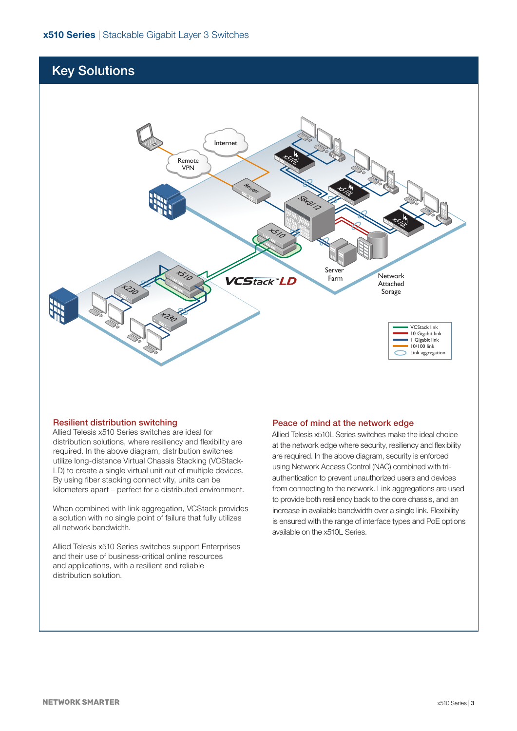# Key Solutions



### Resilient distribution switching

Allied Telesis x510 Series switches are ideal for distribution solutions, where resiliency and flexibility are required. In the above diagram, distribution switches utilize long-distance Virtual Chassis Stacking (VCStack-LD) to create a single virtual unit out of multiple devices. By using fiber stacking connectivity, units can be kilometers apart – perfect for a distributed environment.

When combined with link aggregation, VCStack provides a solution with no single point of failure that fully utilizes all network bandwidth.

Allied Telesis x510 Series switches support Enterprises and their use of business-critical online resources and applications, with a resilient and reliable distribution solution.

### Peace of mind at the network edge

Allied Telesis x510L Series switches make the ideal choice at the network edge where security, resiliency and flexibility are required. In the above diagram, security is enforced using Network Access Control (NAC) combined with triauthentication to prevent unauthorized users and devices from connecting to the network. Link aggregations are used to provide both resiliency back to the core chassis, and an increase in available bandwidth over a single link. Flexibility is ensured with the range of interface types and PoE options available on the x510L Series.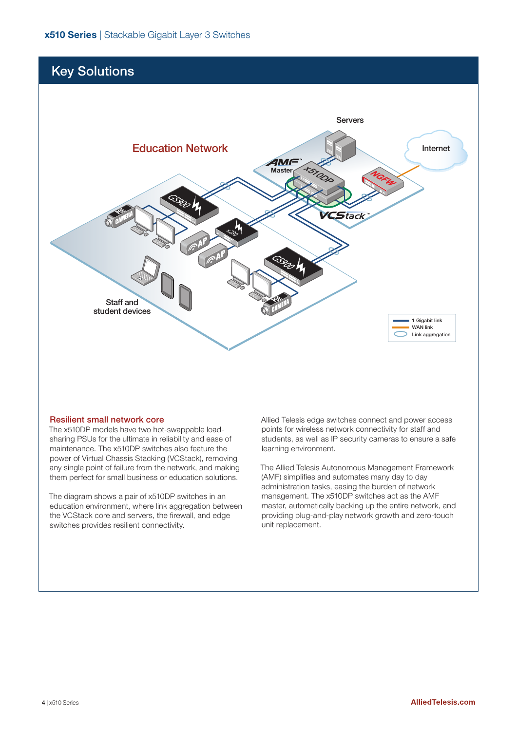# Key Solutions



### Resilient small network core

The x510DP models have two hot-swappable loadsharing PSUs for the ultimate in reliability and ease of maintenance. The x510DP switches also feature the power of Virtual Chassis Stacking (VCStack), removing any single point of failure from the network, and making them perfect for small business or education solutions.

The diagram shows a pair of x510DP switches in an education environment, where link aggregation between the VCStack core and servers, the firewall, and edge switches provides resilient connectivity.

Allied Telesis edge switches connect and power access points for wireless network connectivity for staff and students, as well as IP security cameras to ensure a safe learning environment.

The Allied Telesis Autonomous Management Framework (AMF) simplifies and automates many day to day administration tasks, easing the burden of network management. The x510DP switches act as the AMF master, automatically backing up the entire network, and providing plug-and-play network growth and zero-touch unit replacement.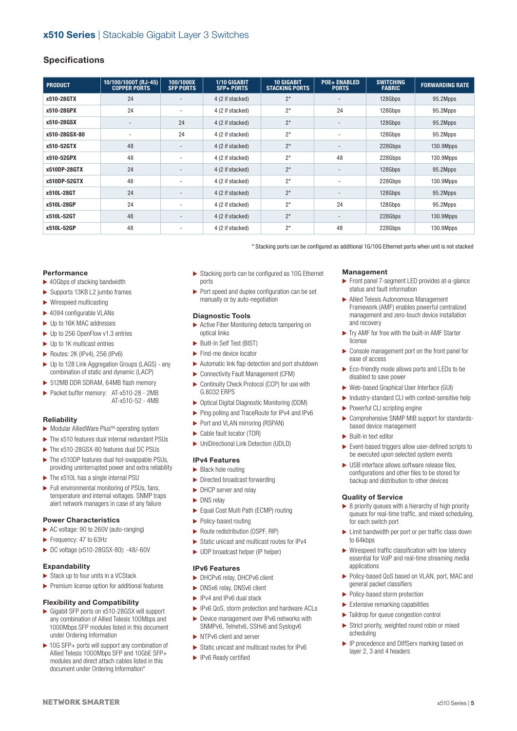### **Specifications**

| <b>PRODUCT</b> | 10/100/1000T (RJ-45)<br><b>COPPER PORTS</b> | 100/1000X<br><b>SFP PORTS</b> | 1/10 GIGABIT<br><b>SFP+ PORTS</b> | <b>10 GIGABIT</b><br><b>STACKING PORTS</b> | <b>POE+ ENABLED</b><br><b>PORTS</b> | <b>SWITCHING</b><br><b>FABRIC</b> | <b>FORWARDING RATE</b> |
|----------------|---------------------------------------------|-------------------------------|-----------------------------------|--------------------------------------------|-------------------------------------|-----------------------------------|------------------------|
| x510-28GTX     | 24                                          |                               | 4 (2 if stacked)                  | $2^*$                                      |                                     | 128Gbps                           | 95.2Mpps               |
| x510-28GPX     | 24                                          | ۰                             | 4 (2 if stacked)                  | $2^*$                                      | 24                                  | 128Gbps                           | 95.2Mpps               |
| x510-28GSX     |                                             | 24                            | 4 (2 if stacked)                  | $2^*$                                      |                                     | 128Gbps                           | 95.2Mpps               |
| x510-28GSX-80  |                                             | 24                            | 4 (2 if stacked)                  | $2*$                                       | $\overline{\phantom{a}}$            | 128Gbps                           | 95.2Mpps               |
| x510-52GTX     | 48                                          |                               | 4 (2 if stacked)                  | $2^*$                                      |                                     | 228Gbps                           | 130.9Mpps              |
| x510-52GPX     | 48                                          | -                             | 4 (2 if stacked)                  | $2^*$                                      | 48                                  | 228Gbps                           | 130.9Mpps              |
| x510DP-28GTX   | 24                                          | $\overline{\phantom{0}}$      | 4 (2 if stacked)                  | $2*$                                       | $\overline{\phantom{a}}$            | 128Gbps                           | 95.2Mpps               |
| x510DP-52GTX   | 48                                          |                               | 4 (2 if stacked)                  | $2^*$                                      |                                     | 228Gbps                           | 130.9Mpps              |
| x510L-28GT     | 24                                          | $\overline{\phantom{a}}$      | 4 (2 if stacked)                  | $2^*$                                      | $\overline{\phantom{a}}$            | 128Gbps                           | 95.2Mpps               |
| x510L-28GP     | 24                                          |                               | 4 (2 if stacked)                  | $2^*$                                      | 24                                  | 128Gbps                           | 95.2Mpps               |
| x510L-52GT     | 48                                          |                               | 4 (2 if stacked)                  | $2^*$                                      | $\overline{\phantom{a}}$            | 228Gbps                           | 130.9Mpps              |
| x510L-52GP     | 48                                          |                               | 4 (2 if stacked)                  | $2^*$                                      | 48                                  | 228Gbps                           | 130.9Mpps              |

\* Stacking ports can be configured as additional 1G/10G Ethernet ports when unit is not stacked

### **Performance**

- $\blacktriangleright$  40Gbps of stacking bandwidth
- ▶ Supports 13KB L2 jumbo frames
- $\blacktriangleright$  Wirespeed multicasting
- $\blacktriangleright$  4094 configurable VLANs
- ▶ Up to 16K MAC addresses
- ▶ Up to 256 OpenFlow v1.3 entries
- $\blacktriangleright$  Up to 1K multicast entries
- $\blacktriangleright$  Routes: 2K (IPv4), 256 (IPv6)
- ▶ Up to 128 Link Aggregation Groups (LAGS) any combination of static and dynamic (LACP)
- ▶ 512MB DDR SDRAM, 64MB flash memory
- ▶ Packet buffer memory: AT-x510-28 2MB AT-x510-52 - 4MB

### **Reliability**

- $\blacktriangleright$  Modular AlliedWare Plus<sup>TM</sup> operating system
- $\blacktriangleright$  The x510 features dual internal redundant PSUs
- ▶ The x510-28GSX-80 features dual DC PSUs
- ▶ The x510DP features dual hot-swappable PSUs, providing uninterrupted power and extra reliability
- $\blacktriangleright$  The x510L has a single internal PSU
- $\blacktriangleright$  Full environmental monitoring of PSUs, fans, temperature and internal voltages. SNMP traps alert network managers in case of any failure

### **Power Characteristics**

- ▶ AC voltage: 90 to 260V (auto-ranging)
- Frequency: 47 to 63Hz
- ▶ DC voltage (x510-28GSX-80): -48/-60V

### **Expandability**

- $\blacktriangleright$  Stack up to four units in a VCStack
- $\blacktriangleright$  Premium license option for additional features

### **Flexibility and Compatibility**

- ► Gigabit SFP ports on x510-28GSX will support any combination of Allied Telesis 100Mbps and 1000Mbps SFP modules listed in this document under Ordering Information
- ▶ 10G SFP+ ports will support any combination of Allied Telesis 1000Mbps SFP and 10GbE SFP+ modules and direct attach cables listed in this document under Ordering Information\*
- $\triangleright$  Stacking ports can be configured as 10G Ethernet ports
- $\blacktriangleright$  Port speed and duplex configuration can be set manually or by auto-negotiation

### **Diagnostic Tools**

- ▶ Active Fiber Monitoring detects tampering on optical links
- Built-In Self Test (BIST)
- $\blacktriangleright$  Find-me device locator
- $\blacktriangleright$  Automatic link flap detection and port shutdown
- ▶ Connectivity Fault Management (CFM)
- ▶ Continuity Check Protocol (CCP) for use with G.8032 ERPS
- ▶ Optical Digital Diagnostic Monitoring (DDM)
- ▶ Ping polling and TraceRoute for IPv4 and IPv6
- ▶ Port and VLAN mirroring (RSPAN)
- ▶ Cable fault locator (TDR)
- ▶ UniDirectional Link Detection (UDLD)

### **IPv4 Features**

- $\blacktriangleright$  Black hole routing
- $\blacktriangleright$  Directed broadcast forwarding
- ▶ DHCP server and relay
- $\blacktriangleright$  DNS relay
- Equal Cost Multi Path (ECMP) routing
- ▶ Policy-based routing
- ▶ Route redistribution (OSPF, RIP)
- ▶ Static unicast and multicast routes for IPv4
- ▶ UDP broadcast helper (IP helper)

### **IPv6 Features**

- ▶ DHCPv6 relay, DHCPv6 client
- ▶ DNSv6 relay, DNSv6 client
- ▶ IPv4 and IPv6 dual stack
- ▶ IPv6 QoS, storm protection and hardware ACLs
- ▶ Device management over IPv6 networks with SNMPv6, Telnetv6, SSHv6 and Syslogy6
- In NTPv6 client and server
- ▶ Static unicast and multicast routes for IPv6
- **IPv6 Ready certified**

### **Management**

- ▶ Front panel 7-segment LED provides at-a-glance status and fault information
- ۼ Allied Telesis Autonomous Management Framework (AMF) enables powerful centralized management and zero-touch device installation and recovery
- $\blacktriangleright$  Trv AMF for free with the built-in AMF Starter licance
- $\blacktriangleright$  Console management port on the front panel for ease of access
- ▶ Eco-friendly mode allows ports and LEDs to be disabled to save power
- ▶ Web-based Graphical User Interface (GUI)
- $\blacktriangleright$  Industry-standard CLI with context-sensitive help
- ▶ Powerful CLI scripting engine
- ۼ Comprehensive SNMP MIB support for standardsbased device management
- ۼ Built-in text editor
- $\blacktriangleright$  Event-based triggers allow user-defined scripts to be executed upon selected system events
- $\blacktriangleright$  USB interface allows software release files, configurations and other files to be stored for backup and distribution to other devices

### **Quality of Service**

- $\triangleright$  8 priority queues with a hierarchy of high priority queues for real-time traffic, and mixed scheduling, for each switch port
- $\blacktriangleright$  Limit bandwidth per port or per traffic class down to 64kbps
- $\blacktriangleright$  Wirespeed traffic classification with low latency essential for VoIP and real-time streaming media applications
- ▶ Policy-based QoS based on VLAN, port, MAC and general packet classifiers
- ▶ Policy-based storm protection
- $\blacktriangleright$  Extensive remarking capabilities
- $\blacktriangleright$  Taildrop for queue congestion control
- $\blacktriangleright$  Strict priority, weighted round robin or mixed scheduling
- ▶ IP precedence and DiffServ marking based on layer 2, 3 and 4 headers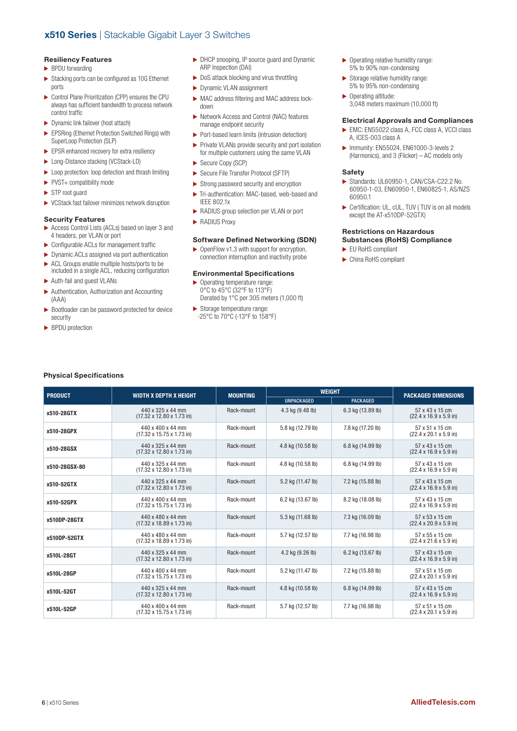### **Resiliency Features**

- **BPDU** forwarding
- $\triangleright$  Stacking ports can be configured as 10G Ethernet ports
- ۼ Control Plane Prioritization (CPP) ensures the CPU always has sufficient bandwidth to process network control traffic
- ۼ Dynamic link failover (host attach)
- ۼ EPSRing (Ethernet Protection Switched Rings) with SuperLoop Protection (SLP)
- $\blacktriangleright$  EPSR enhanced recovery for extra resiliency
- ► Long-Distance stacking (VCStack-LD)
- ▶ Loop protection: loop detection and thrash limiting
- ▶ PVST+ compatibility mode
- $\blacktriangleright$  STP root guard
- $\blacktriangleright$  VCStack fast failover minimizes network disruption

#### **Security Features**

- ▶ Access Control Lists (ACLs) based on layer 3 and 4 headers, per VLAN or port
- $\blacktriangleright$  Configurable ACLs for management traffic
- $\blacktriangleright$  Dynamic ACLs assigned via port authentication  $\blacktriangleright$  ACL Groups enable multiple hosts/ports to be included in a single ACL, reducing configuration
- ۼ Auth-fail and guest VLANs
- $\blacktriangleright$  Authentication, Authorization and Accounting (AAA)
- $\blacktriangleright$  Bootloader can be password protected for device security
- BPDU protection
- ▶ DHCP snooping, IP source guard and Dynamic ARP Inspection (DAI)
- $\triangleright$  DoS attack blocking and virus throttling
- ▶ Dynamic VLAN assignment
- ▶ MAC address filtering and MAC address lockdown
- ▶ Network Access and Control (NAC) features manage endpoint security
- ۼ Port-based learn limits (intrusion detection)
- ▶ Private VLANs provide security and port isolation for multiple customers using the same VLAN
- ▶ Secure Copy (SCP)
- ▶ Secure File Transfer Protocol (SFTP)
- $\blacktriangleright$  Strong password security and encryption
- $\blacktriangleright$  Tri-authentication: MAC-based, web-based and IEEE 802.1x
- ۼ RADIUS group selection per VLAN or port
- **RADIUS Proxy**

### **Software Defined Networking (SDN)**

▶ OpenFlow v1.3 with support for encryption, connection interruption and inactivity probe

### **Environmental Specifications**

- $\blacktriangleright$  Operating temperature range: 0°C to 45°C (32°F to 113°F) Derated by 1°C per 305 meters (1,000 ft)
- Storage temperature range: -25°C to 70°C (-13°F to 158°F)
- ▶ Operating relative humidity range: 5% to 90% non-condensing
- $\blacktriangleright$  Storage relative humidity range: 5% to 95% non-condensing
- ▶ Operating altitude: 3,048 meters maximum (10,000 ft)

### **Electrical Approvals and Compliances**

- ► EMC: EN55022 class A, FCC class A, VCCI class A, ICES-003 class A
- ۼ Immunity: EN55024, EN61000-3-levels 2 (Harmonics), and 3 (Flicker) – AC models only

#### **Safety**

- ► Standards: UL60950-1, CAN/CSA-C22.2 No. 60950-1-03, EN60950-1, EN60825-1, AS/NZS 60950.1
- ▶ Certification: UL, cUL, TUV ( TUV is on all models except the AT-x510DP-52GTX)

#### **Restrictions on Hazardous Substances (RoHS) Compliance**

- EU RoHS compliant
- ۼ China RoHS compliant

| <b>PRODUCT</b> | <b>WIDTH X DEPTH X HEIGHT</b>                                      | <b>MOUNTING</b> | <b>WEIGHT</b>     | <b>PACKAGED DIMENSIONS</b> |                                                               |
|----------------|--------------------------------------------------------------------|-----------------|-------------------|----------------------------|---------------------------------------------------------------|
|                |                                                                    |                 | <b>UNPACKAGED</b> | <b>PACKAGED</b>            |                                                               |
| x510-28GTX     | 440 x 325 x 44 mm<br>$(17.32 \times 12.80 \times 1.73)$ in         | Rack-mount      | 4.3 kg (9.48 lb)  | 6.3 kg (13.89 lb)          | 57 x 43 x 15 cm<br>$(22.4 \times 16.9 \times 5.9)$ in)        |
| x510-28GPX     | 440 x 400 x 44 mm<br>$(17.32 \times 15.75 \times 1.73)$ in         | Rack-mount      | 5.8 kg (12.79 lb) | 7.8 kg (17.20 lb)          | 57 x 51 x 15 cm<br>$(22.4 \times 20.1 \times 5.9)$ in         |
| x510-28GSX     | 440 x 325 x 44 mm<br>$(17.32 \times 12.80 \times 1.73 \text{ in})$ | Rack-mount      | 4.8 kg (10.58 lb) | 6.8 kg (14.99 lb)          | 57 x 43 x 15 cm<br>$(22.4 \times 16.9 \times 5.9)$ in         |
| x510-28GSX-80  | 440 x 325 x 44 mm<br>$(17.32 \times 12.80 \times 1.73 \text{ in})$ | Rack-mount      | 4.8 kg (10.58 lb) | 6.8 kg (14.99 lb)          | 57 x 43 x 15 cm<br>$(22.4 \times 16.9 \times 5.9)$ in)        |
| x510-52GTX     | 440 x 325 x 44 mm<br>$(17.32 \times 12.80 \times 1.73 \text{ in})$ | Rack-mount      | 5.2 kg (11.47 lb) | 7.2 kg (15.88 lb)          | 57 x 43 x 15 cm<br>$(22.4 \times 16.9 \times 5.9)$ in)        |
| x510-52GPX     | 440 x 400 x 44 mm<br>$(17.32 \times 15.75 \times 1.73 \text{ in})$ | Rack-mount      | 6.2 kg (13.67 lb) | 8.2 kg (18.08 lb)          | 57 x 43 x 15 cm<br>$(22.4 \times 16.9 \times 5.9)$ in         |
| x510DP-28GTX   | 440 x 480 x 44 mm<br>$(17.32 \times 18.89 \times 1.73 \text{ in})$ | Rack-mount      | 5.3 kg (11.68 lb) | 7.3 kg (16.09 lb)          | 57 x 53 x 15 cm<br>$(22.4 \times 20.9 \times 5.9)$ in)        |
| x510DP-52GTX   | 440 x 480 x 44 mm<br>$(17.32 \times 18.89 \times 1.73 \text{ in})$ | Rack-mount      | 5.7 kg (12.57 lb) | 7.7 kg (16.98 lb)          | 57 x 55 x 15 cm<br>$(22.4 \times 21.6 \times 5.9)$ in         |
| x510L-28GT     | 440 x 325 x 44 mm<br>$(17.32 \times 12.80 \times 1.73 \text{ in})$ | Rack-mount      | 4.2 kg (9.26 lb)  | 6.2 kg (13.67 lb)          | 57 x 43 x 15 cm<br>$(22.4 \times 16.9 \times 5.9 \text{ in})$ |
| x510L-28GP     | 440 x 400 x 44 mm<br>$(17.32 \times 15.75 \times 1.73$ in)         | Rack-mount      | 5.2 kg (11.47 lb) | 7.2 kg (15.88 lb)          | 57 x 51 x 15 cm<br>$(22.4 \times 20.1 \times 5.9)$ in         |
| x510L-52GT     | 440 x 325 x 44 mm<br>$(17.32 \times 12.80 \times 1.73 \text{ in})$ | Rack-mount      | 4.8 kg (10.58 lb) | 6.8 kg (14.99 lb)          | 57 x 43 x 15 cm<br>$(22.4 \times 16.9 \times 5.9)$ in)        |
| x510L-52GP     | 440 x 400 x 44 mm<br>$(17.32 \times 15.75 \times 1.73 \text{ in})$ | Rack-mount      | 5.7 kg (12.57 lb) | 7.7 kg (16.98 lb)          | 57 x 51 x 15 cm<br>$(22.4 \times 20.1 \times 5.9)$ in)        |

### **Physical Specifications**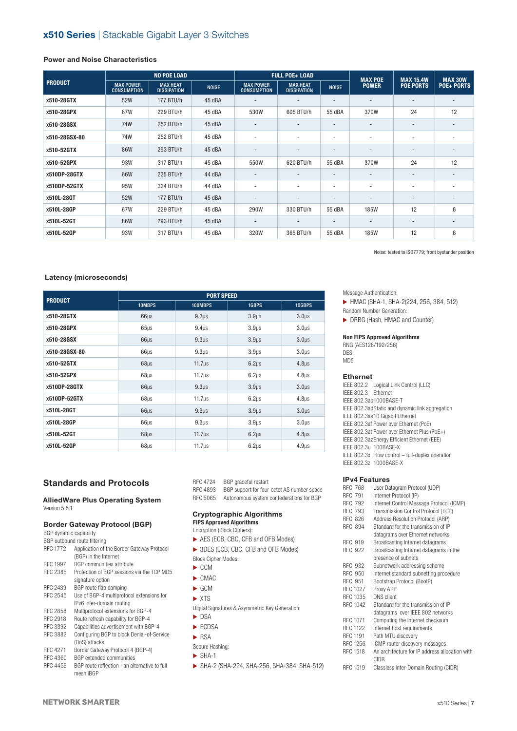### **Power and Noise Characteristics**

|                | <b>NO POE LOAD</b>                     |                                       |              |                                        | <b>FULL POE+ LOAD</b>                 |                          | <b>MAX POE</b>           | <b>MAX 15.4W</b>         | <b>MAX 30W</b>           |
|----------------|----------------------------------------|---------------------------------------|--------------|----------------------------------------|---------------------------------------|--------------------------|--------------------------|--------------------------|--------------------------|
| <b>PRODUCT</b> | <b>MAX POWER</b><br><b>CONSUMPTION</b> | <b>MAX HEAT</b><br><b>DISSIPATION</b> | <b>NOISE</b> | <b>MAX POWER</b><br><b>CONSUMPTION</b> | <b>MAX HEAT</b><br><b>DISSIPATION</b> | <b>NOISE</b>             | <b>POWER</b>             | <b>POE PORTS</b>         | <b>POE+ PORTS</b>        |
| x510-28GTX     | 52W                                    | 177 BTU/h                             | 45 dBA       |                                        | $\overline{\phantom{a}}$              | $\overline{\phantom{a}}$ | $\overline{\phantom{a}}$ | $\overline{\phantom{a}}$ |                          |
| x510-28GPX     | 67W                                    | 229 BTU/h                             | 45 dBA       | 530W                                   | 605 BTU/h                             | 55 dBA                   | 370W                     | 24                       | 12                       |
| x510-28GSX     | 74W                                    | 252 BTU/h                             | 45 dBA       | $\overline{\phantom{a}}$               | $\overline{\phantom{a}}$              | $\overline{\phantom{a}}$ | $\overline{\phantom{a}}$ | $\overline{\phantom{a}}$ |                          |
| x510-28GSX-80  | 74W                                    | 252 BTU/h                             | 45 dBA       | $\overline{\phantom{a}}$               | $\overline{\phantom{a}}$              | $\overline{\phantom{a}}$ | ٠                        | $\overline{\phantom{a}}$ | $\overline{\phantom{a}}$ |
| x510-52GTX     | 86W                                    | 293 BTU/h                             | 45 dBA       |                                        |                                       | $\overline{\phantom{a}}$ |                          | $\overline{\phantom{a}}$ |                          |
| x510-52GPX     | 93W                                    | 317 BTU/h                             | 45 dBA       | 550W                                   | 620 BTU/h                             | 55 dBA                   | 370W                     | 24                       | 12                       |
| x510DP-28GTX   | 66W                                    | 225 BTU/h                             | 44 dBA       |                                        |                                       | $\overline{\phantom{a}}$ | ٠                        |                          |                          |
| x510DP-52GTX   | 95W                                    | 324 BTU/h                             | 44 dBA       | $\overline{\phantom{a}}$               | $\overline{\phantom{a}}$              | $\overline{\phantom{a}}$ | $\overline{\phantom{0}}$ | $\overline{\phantom{a}}$ | $\overline{\phantom{a}}$ |
| x510L-28GT     | 52W                                    | 177 BTU/h                             | 45 dBA       | $\overline{\phantom{a}}$               | $\overline{\phantom{a}}$              | $\overline{\phantom{a}}$ | -                        | $\overline{\phantom{a}}$ |                          |
| x510L-28GP     | 67W                                    | 229 BTU/h                             | 45 dBA       | 290W                                   | 330 BTU/h                             | 55 dBA                   | <b>185W</b>              | 12                       | 6                        |
| x510L-52GT     | 86W                                    | 293 BTU/h                             | 45 dBA       | $\overline{\phantom{a}}$               |                                       | $\overline{\phantom{a}}$ | $\overline{\phantom{a}}$ | $\overline{\phantom{a}}$ |                          |
| x510L-52GP     | 93W                                    | 317 BTU/h                             | 45 dBA       | 320W                                   | 365 BTU/h                             | 55 dBA                   | <b>185W</b>              | 12                       | 6                        |

Noise: tested to ISO7779; front bystander position

### **Latency (microseconds)**

| <b>PRODUCT</b> |                  | <b>PORT SPEED</b>  |                   |                    |
|----------------|------------------|--------------------|-------------------|--------------------|
|                | 10MBPS           | 100MBPS            | 1GBPS             | 10GBPS             |
| x510-28GTX     | $66\mu s$        | 9.3 <sub>µS</sub>  | 3.9 <sub>µS</sub> | 3.0 <sub>µS</sub>  |
| x510-28GPX     | 65 <sub>µS</sub> | 9.4 <sub>µS</sub>  | 3.9 <sub>µS</sub> | 3.0 <sub>µS</sub>  |
| x510-28GSX     | $66\mu s$        | 9.3 <sub>µS</sub>  | 3.9 <sub>µS</sub> | 3.0 <sub>µS</sub>  |
| x510-28GSX-80  | $66\mu s$        | 9.3 <sub>µS</sub>  | 3.9 <sub>µS</sub> | 3.0 <sub>µS</sub>  |
| x510-52GTX     | $68\mu s$        | 11.7 <sub>µS</sub> | $6.2\mu s$        | 4.8 <sub>µS</sub>  |
| x510-52GPX     | $68\mu s$        | 11.7 <sub>µS</sub> | $6.2\mu s$        | 4.8 <sub>µS</sub>  |
| x510DP-28GTX   | $66\mu s$        | $9.3 \mu s$        | 3.9 <sub>µS</sub> | $3.0\mu$ s         |
| x510DP-52GTX   | $68\mu s$        | $11.7\mu s$        | $6.2\mu s$        | 4.8 <sub>µS</sub>  |
| x510L-28GT     | $66\mu s$        | 9.3 <sub>µS</sub>  | 3.9 <sub>US</sub> | 3.0 <sub>µS</sub>  |
| x510L-28GP     | $66\mu s$        | 9.3 <sub>µS</sub>  | 3.9 <sub>US</sub> | 3.0 <sub>µ</sub> s |
| x510L-52GT     | $68\mu s$        | 11.7 <sub>µS</sub> | $6.2 \mu s$       | 4.8 <sub>µS</sub>  |
| x510L-52GP     | $68\mu s$        | $11.7\mu s$        | $6.2\mu s$        | 4.9 <sub>µS</sub>  |

### **Standards and Protocols**

### **AlliedWare Plus Operating System** Version 5.5.1

### **Border Gateway Protocol (BGP)**

BGP dynamic capability

|                 | BGP outbound route filtering               |
|-----------------|--------------------------------------------|
| <b>RFC 1772</b> | Application of the Border Gateway Protocol |
|                 | (BGP) in the Internet                      |
| RFC 1997        | <b>BGP</b> communities attribute           |
| RFC 2385        | Protection of BGP sessions via the TCP MD5 |
|                 | signature option                           |
| RFC 2439        | BGP route flap damping                     |
| RFC 2545        | Use of BGP-4 multiprotocol extensions for  |
|                 | IPv6 inter-domain routing                  |
| RFC 2858        | Multiprotocol extensions for BGP-4         |
| RFC 2918        | Route refresh capability for BGP-4         |
| RFC 3392        | Capabilities advertisement with BGP-4      |
| <b>RFC 3882</b> | Configuring BGP to block Denial-of-Service |
|                 | (DoS) attacks                              |
| RFC 4271        | Border Gateway Protocol 4 (BGP-4)          |
| RFC 4360        | <b>BGP</b> extended communities            |

RFC 4456 BGP route reflection - an alternative to full mesh iBGP

RFC 4724 BGP graceful restart<br>RFC 4893 BGP support for four-BGP support for four-octet AS number space RFC 5065 Autonomous system confederations for BGP

#### **Cryptographic Algorithms FIPS Approved Algorithms**

Encryption (Block Ciphers):

- ▶ AES (ECB, CBC, CFB and OFB Modes)
- ▶ 3DES (ECB, CBC, CFB and OFB Modes) Block Cipher Modes:
- $\blacktriangleright$  CCM
- $\blacktriangleright$  CMAC
- $\blacktriangleright$  GCM
- $\blacktriangleright$  XTS
- Digital Signatures & Asymmetric Key Generation:
- $\blacktriangleright$  DSA
- ECDSA
- $\triangleright$  RSA
- Secure Hashing:
- $\triangleright$  SHA-1
- ۼ SHA-2 (SHA-224, SHA-256, SHA-384. SHA-512)

#### Message Authentication:

- ۼ HMAC (SHA-1, SHA-2(224, 256, 384, 512)
- Random Number Generation:
- DRBG (Hash, HMAC and Counter)

### **Non FIPS Approved Algorithms**

RNG (AES128/192/256) DES MD5

### **Ethernet**

IEEE 802.2 Logical Link Control (LLC) IEEE 802.3 Ethernet IEEE 802.3ab1000BASE-T IEEE 802.3adStatic and dynamic link aggregation IEEE 802.3ae10 Gigabit Ethernet IEEE 802.3af Power over Ethernet (PoE) IEEE 802.3at Power over Ethernet Plus (PoE+) IEEE 802.3azEnergy Efficient Ethernet (EEE) IEEE 802.3u 100BASE-X IEEE 802.3x Flow control – full-duplex operation IEEE 802.3z 1000BASE-X

#### **IPv4 Features**

- RFC 768 User Datagram Protocol (UDP)<br>RFC 791 Internet Protocol (IP) Internet Protocol (IP) RFC 792 Internet Control Message Protocol (ICMP) RFC 793 Transmission Control Protocol (TCP)<br>RFC 826 Address Resolution Protocol (ARP) RFC 826 Address Resolution Protocol (ARP)<br>RFC 894 Standard for the transmission of IP Standard for the transmission of IP datagrams over Ethernet networks RFC 919 Broadcasting Internet datagrams RFC 922 Broadcasting Internet datagrams in the presence of subnets RFC 932 Subnetwork addressing scheme<br>RFC 950 Internet standard subnetting pro Internet standard subnetting procedure RFC 951 Bootstrap Protocol (BootP) RFC 1027 Proxy ARP RFC 1035 DNS client RFC 1042 Standard for the transmission of IP datagrams over IEEE 802 networks RFC 1071 Computing the Internet checksum RFC 1122 Internet host requirements<br>RFC 1191 Path MTU discovery Path MTU discovery RFC 1256 ICMP router discovery messages RFC 1518 An architecture for IP address allocation with CIDR
- RFC 1519 Classless Inter-Domain Routing (CIDR)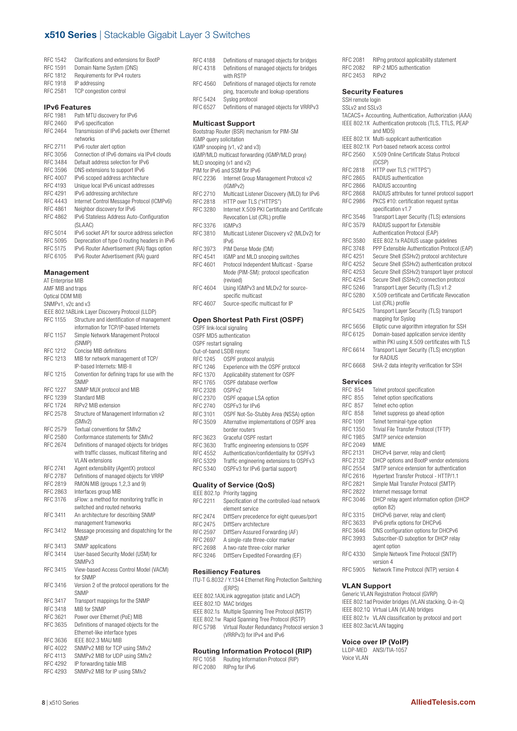| RFC 1542 | Clarifications and extensions for BootP |
|----------|-----------------------------------------|
| RFC 1591 | Domain Name System (DNS)                |
| RFC 1812 | Requirements for IPv4 routers           |
| RFC 1918 | IP addressing                           |
| RFC 2581 | <b>TCP</b> congestion control           |

#### **IPv6 Features**

| RFC 1981 | Path MTU discovery for IPv6                   |
|----------|-----------------------------------------------|
| RFC 2460 | IPv6 specification                            |
| RFC 2464 | Transmission of IPv6 packets over Ethernet    |
|          | networks                                      |
| RFC 2711 | IPv6 router alert option                      |
| RFC 3056 | Connection of IPv6 domains via IPv4 clouds    |
| RFC 3484 | Default address selection for IPv6            |
| RFC 3596 | DNS extensions to support IPv6                |
| RFC 4007 | IPv6 scoped address architecture              |
| RFC 4193 | Unique local IPv6 unicast addresses           |
| RFC 4291 | IPv6 addressing architecture                  |
| RFC 4443 | Internet Control Message Protocol (ICMPv6)    |
| RFC 4861 | Neighbor discovery for IPv6                   |
| RFC 4862 | IPv6 Stateless Address Auto-Configuration     |
|          | (SLAAC)                                       |
| RFC 5014 | IPv6 socket API for source address selection  |
| RFC 5095 | Deprecation of type 0 routing headers in IPv6 |
| RFC 5175 | IPv6 Router Advertisement (RA) flags option   |
| RFC 6105 | IPv6 Router Advertisement (RA) quard          |
|          |                                               |

#### **Management**

| AT Enterprise MIB  |                                                  |  |  |
|--------------------|--------------------------------------------------|--|--|
| AMF MIB and traps  |                                                  |  |  |
| Optical DDM MIB    |                                                  |  |  |
| SNMPv1, v2c and v3 |                                                  |  |  |
|                    | IEEE 802.1ABLink Layer Discovery Protocol (LLDP) |  |  |
| <b>RFC 1155</b>    | Structure and identification of management       |  |  |
|                    | information for TCP/IP-based Internets           |  |  |
| <b>RFC 1157</b>    | Simple Network Management Protocol               |  |  |
|                    | (SNMP)                                           |  |  |
| RFC 1212           | Concise MIB definitions                          |  |  |
| <b>RFC 1213</b>    | MIB for network management of TCP/               |  |  |
|                    | IP-based Internets: MIB-II                       |  |  |
| RFC 1215           | Convention for defining traps for use with the   |  |  |
|                    | SNMP                                             |  |  |
| <b>RFC 1227</b>    | SNMP MUX protocol and MIB                        |  |  |
| RFC 1239           | <b>Standard MIB</b>                              |  |  |
|                    | RIPv2 MIB extension                              |  |  |
| <b>RFC 1724</b>    |                                                  |  |  |
| <b>RFC 2578</b>    | Structure of Management Information v2           |  |  |
|                    | (SMIv2)                                          |  |  |
| RFC 2579           | Textual conventions for SMIv2                    |  |  |
| RFC 2580           | Conformance statements for SMIv2                 |  |  |
| <b>RFC 2674</b>    | Definitions of managed objects for bridges       |  |  |
|                    | with traffic classes, multicast filtering and    |  |  |
|                    | <b>VLAN</b> extensions                           |  |  |
| RFC 2741           | Agent extensibility (AgentX) protocol            |  |  |
| <b>RFC 2787</b>    | Definitions of managed objects for VRRP          |  |  |
| RFC 2819           | RMON MIB (groups 1,2,3 and 9)                    |  |  |
| RFC 2863           | Interfaces group MIB                             |  |  |
| RFC 3176           | sFlow: a method for monitoring traffic in        |  |  |
|                    | switched and routed networks                     |  |  |
| RFC 3411           | An architecture for describing SNMP              |  |  |
|                    | management frameworks                            |  |  |
| RFC 3412           | Message processing and dispatching for the       |  |  |
|                    | <b>SNMP</b>                                      |  |  |
| <b>RFC 3413</b>    | SNMP applications                                |  |  |
| <b>RFC 3414</b>    | User-based Security Model (USM) for              |  |  |
|                    | SNMP <sub>v3</sub>                               |  |  |
| RFC 3415           | View-based Access Control Model (VACM)           |  |  |
|                    | for SNMP                                         |  |  |
| RFC 3416           | Version 2 of the protocol operations for the     |  |  |
|                    | <b>SNMP</b>                                      |  |  |
| RFC 3417           | Transport mappings for the SNMP                  |  |  |
| RFC 3418           | MIB for SNMP                                     |  |  |
| RFC 3621           | Power over Ethernet (PoE) MIB                    |  |  |
| RFC 3635           | Definitions of managed objects for the           |  |  |
|                    | Ethernet-like interface types                    |  |  |
| RFC 3636           | IEEE 802.3 MAU MIB                               |  |  |
| <b>RFC 4022</b>    | SNMPv2 MIB for TCP using SMIv2                   |  |  |
| RFC 4113           | SNMPv2 MIB for UDP using SMIv2                   |  |  |
|                    |                                                  |  |  |
| <b>RFC 4292</b>    | IP forwarding table MIB                          |  |  |
| <b>RFC 4293</b>    | SNMPv2 MIB for IP using SMIv2                    |  |  |

| <b>RFC 4188</b>         | Definitions of managed objects for bridges                                          |
|-------------------------|-------------------------------------------------------------------------------------|
| RFC 4318                | Definitions of managed objects for bridges<br>with RSTP                             |
| RFC 4560                | Definitions of managed objects for remote<br>ping, traceroute and lookup operations |
| <b>RFC 5424</b>         | Syslog protocol                                                                     |
| RFC 6527                | Definitions of managed objects for VRRPv3                                           |
|                         | <b>Multicast Support</b>                                                            |
|                         | Bootstrap Router (BSR) mechanism for PIM-SM                                         |
| IGMP query solicitation |                                                                                     |
|                         | IGMP snooping (v1, v2 and v3)                                                       |
|                         | IGMP/MLD multicast forwarding (IGMP/MLD proxy)                                      |
|                         | MLD snooping (v1 and v2)                                                            |
|                         | PIM for IPv6 and SSM for IPv6                                                       |
| RFC 2236                | Internet Group Management Protocol v2<br>(IGMPv2)                                   |
| RFC 2710                | Multicast Listener Discovery (MLD) for IPv6                                         |
| RFC 2818                | HTTP over TLS ("HTTPS")                                                             |

RFC 3280 Internet X.509 PKI Certificate and Certificate Revocation List (CRL) profile RFC 3376 IGMPv3 RFC 3810 Multicast Listener Discovery v2 (MLDv2) for IPv6

- 
- RFC 3973 PIM Dense Mode (DM)<br>RFC 4541 IGMP and MLD snoopir IGMP and MLD snooping switches RFC 4601 Protocol Independent Multicast - Sparse
- Mode (PIM-SM): protocol specification (revised) RFC 4604 Using IGMPv3 and MLDv2 for source-
- specific multicast RFC 4607 Source-specific multicast for IP

### **Open Shortest Path First (OSPF)**

|                        | Open Shortest Path First (OSPF)           |
|------------------------|-------------------------------------------|
|                        | OSPF link-local signaling                 |
|                        | OSPF MD5 authentication                   |
| OSPF restart signaling |                                           |
|                        | Out-of-band LSDB resync                   |
| RFC 1245               | OSPF protocol analysis                    |
| RFC 1246               | Experience with the OSPF protocol         |
| <b>RFC 1370</b>        | Applicability statement for OSPF          |
| RFC 1765               | OSPF database overflow                    |
| RFC 2328               | OSPE <sub>v2</sub>                        |
| RFC 2370               | OSPF opaque LSA option                    |
| RFC 2740               | OSPFv3 for IPv6                           |
| RFC 3101               | OSPF Not-So-Stubby Area (NSSA) option     |
| RFC 3509               | Alternative implementations of OSPF area  |
|                        | border routers                            |
| RFC 3623               | Graceful OSPF restart                     |
| RFC 3630               | Traffic engineering extensions to OSPF    |
| RFC 4552               | Authentication/confidentiality for OSPFv3 |
| RFC 5329               | Traffic engineering extensions to OSPFv3  |
| RFC 5340               | OSPFv3 for IPv6 (partial support)         |
|                        |                                           |
|                        | <b>Quality of Service (QoS)</b>           |
|                        | IFFF 802.1n Priority tagging              |

| IEEE 802.1p                                              | Priority tagging                             |  |
|----------------------------------------------------------|----------------------------------------------|--|
| RFC 2211                                                 | Specification of the controlled-load network |  |
|                                                          | element service                              |  |
| <b>RFC 2474</b>                                          | DiffServ precedence for eight queues/port    |  |
| RFC 2475                                                 | DiffServ architecture                        |  |
| RFC 2597                                                 | DiffServ Assured Forwarding (AF)             |  |
| RFC 2697                                                 | A single-rate three-color marker             |  |
| RFC 2698                                                 | A two-rate three-color marker                |  |
| RFC 3246                                                 | DiffServ Expedited Forwarding (EF)           |  |
|                                                          |                                              |  |
| <b>Resiliency Features</b>                               |                                              |  |
| ITU-T G.8032 / Y.1344 Ethernet Ring Protection Switching |                                              |  |
|                                                          |                                              |  |

|          | TTU-T G.8032 / Y.1344 Ethernet Ring Protection Switching |
|----------|----------------------------------------------------------|
|          | (ERPS)                                                   |
|          | IEEE 802.1AXLink aggregation (static and LACP)           |
|          | IEEE 802.1D MAC bridges                                  |
|          | IEEE 802.1s Multiple Spanning Tree Protocol (MSTP)       |
|          | IEEE 802.1w Rapid Spanning Tree Protocol (RSTP)          |
| RFC 5798 | Virtual Router Redundancy Protocol version 3             |
|          | (VRRPv3) for IPv4 and IPv6                               |
|          |                                                          |
|          | Den Handels and a film Dan London                        |

#### **Routing Information Protocol (RIP)** RFC 1058 Routing Information Protocol (RIP) RFC 2080 RIPng for IPv6

RFC 2081 RIPng protocol applicability statement RFC 2082 RIP-2 MD5 authentication RFC 2453 RIPv2

### **Security Features**

| SSH remote login                                        |                                                       |  |  |  |  |
|---------------------------------------------------------|-------------------------------------------------------|--|--|--|--|
| SSLv2 and SSLv3                                         |                                                       |  |  |  |  |
| TACACS+ Accounting, Authentication, Authorization (AAA) |                                                       |  |  |  |  |
|                                                         | IEEE 802.1X Authentication protocols (TLS, TTLS, PEAP |  |  |  |  |
|                                                         | and MD5)                                              |  |  |  |  |
|                                                         | IEEE 802.1X Multi-supplicant authentication           |  |  |  |  |
|                                                         | IEEE 802.1X Port-based network access control         |  |  |  |  |
| <b>RFC 2560</b>                                         | X.509 Online Certificate Status Protocol              |  |  |  |  |
|                                                         | (OCSP)                                                |  |  |  |  |
| <b>RFC 2818</b>                                         | HTTP over TLS ("HTTPS")                               |  |  |  |  |
| <b>RFC 2865</b>                                         | RADIUS authentication                                 |  |  |  |  |
| <b>RFC 2866</b>                                         | RADIUS accounting                                     |  |  |  |  |
| <b>RFC 2868</b>                                         | RADIUS attributes for tunnel protocol support         |  |  |  |  |
| <b>RFC 2986</b>                                         | PKCS #10: certification request syntax                |  |  |  |  |
|                                                         | specification v1.7                                    |  |  |  |  |
| <b>RFC 3546</b>                                         | Transport Layer Security (TLS) extensions             |  |  |  |  |
| <b>RFC 3579</b>                                         | RADIUS support for Extensible                         |  |  |  |  |
|                                                         | Authentication Protocol (EAP)                         |  |  |  |  |
| <b>RFC 3580</b>                                         | IEEE 802.1x RADIUS usage quidelines                   |  |  |  |  |
| <b>RFC 3748</b>                                         | PPP Extensible Authentication Protocol (EAP)          |  |  |  |  |
| <b>RFC 4251</b>                                         | Secure Shell (SSHv2) protocol architecture            |  |  |  |  |
| <b>RFC 4252</b>                                         | Secure Shell (SSHv2) authentication protocol          |  |  |  |  |
| <b>RFC 4253</b>                                         | Secure Shell (SSHv2) transport layer protocol         |  |  |  |  |
| <b>RFC 4254</b>                                         | Secure Shell (SSHv2) connection protocol              |  |  |  |  |
| <b>RFC 5246</b>                                         | Transport Layer Security (TLS) v1.2                   |  |  |  |  |
| <b>RFC 5280</b>                                         | X.509 certificate and Certificate Revocation          |  |  |  |  |
|                                                         | List (CRL) profile                                    |  |  |  |  |
| <b>RFC 5425</b>                                         | Transport Layer Security (TLS) transport              |  |  |  |  |
|                                                         | mapping for Syslog                                    |  |  |  |  |
| <b>RFC 5656</b>                                         | Elliptic curve algorithm integration for SSH          |  |  |  |  |
| RFC 6125                                                | Domain-based application service identity             |  |  |  |  |
|                                                         | within PKI using X.509 certificates with TLS          |  |  |  |  |
| RFC 6614                                                | Transport Layer Security (TLS) encryption             |  |  |  |  |
|                                                         | for RADIUS                                            |  |  |  |  |
| <b>RFC 6668</b>                                         | SHA-2 data integrity verification for SSH             |  |  |  |  |
|                                                         |                                                       |  |  |  |  |

#### **Services**

| Telnet protocol specification                           |
|---------------------------------------------------------|
| Telnet option specifications                            |
| Telnet echo option                                      |
| Telnet suppress go ahead option                         |
| Telnet terminal-type option                             |
| Trivial File Transfer Protocol (TFTP)                   |
| SMTP service extension                                  |
| <b>MIMF</b>                                             |
| DHCPv4 (server, relay and client)                       |
| DHCP options and BootP vendor extensions                |
| SMTP service extension for authentication               |
| Hypertext Transfer Protocol - HTTP/1.1                  |
| Simple Mail Transfer Protocol (SMTP)                    |
| Internet message format                                 |
| DHCP relay agent information option (DHCP<br>option 82) |
| DHCPv6 (server, relay and client)                       |
| IPv6 prefix options for DHCPv6                          |
| DNS configuration options for DHCPv6                    |
| Subscriber-ID suboption for DHCP relay                  |
| agent option                                            |
| Simple Network Time Protocol (SNTP)<br>version 4        |
| Network Time Protocol (NTP) version 4                   |
|                                                         |

### **VLAN Support**

Generic VLAN Registration Protocol (GVRP) IEEE 802.1ad Provider bridges (VLAN stacking, Q-in-Q) IEEE 802.1Q Virtual LAN (VLAN) bridges IEEE 802.1v VLAN classification by protocol and port IEEE 802.3acVLAN tagging

### **Voice over IP (VoIP)**

|             | LLDP-MED ANSI/TIA-1057 |
|-------------|------------------------|
| Voice VI AN |                        |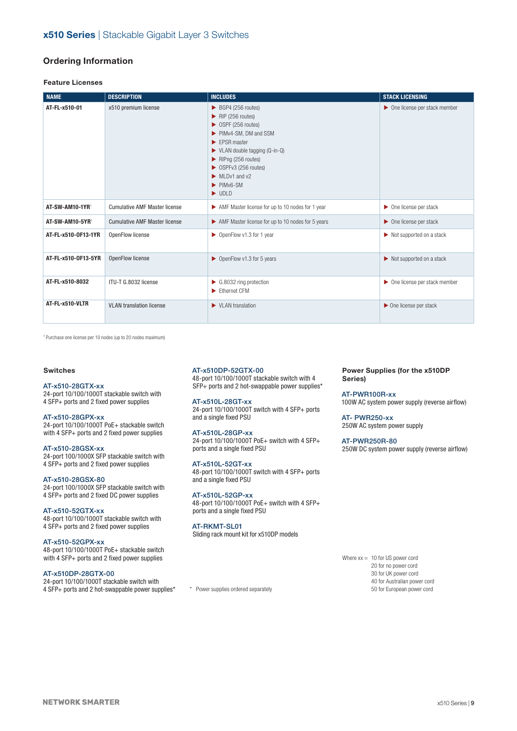### **Ordering Information**

### **Feature Licenses**

| <b>NAME</b>         | <b>DESCRIPTION</b>                   | <b>INCLUDES</b>                                                                                                                                                                                                                                                                                                                                                                                                                              | <b>STACK LICENSING</b>                        |
|---------------------|--------------------------------------|----------------------------------------------------------------------------------------------------------------------------------------------------------------------------------------------------------------------------------------------------------------------------------------------------------------------------------------------------------------------------------------------------------------------------------------------|-----------------------------------------------|
| AT-FL-x510-01       | x510 premium license                 | $\triangleright$ BGP4 (256 routes)<br>$\blacktriangleright$ RIP (256 routes)<br>$\triangleright$ OSPF (256 routes)<br>PIMv4-SM, DM and SSM<br>$\blacktriangleright$ FPSR master<br>$\blacktriangleright$ VLAN double tagging (Q-in-Q)<br>$\blacktriangleright$ RIPng (256 routes)<br>$\triangleright$ OSPFv3 (256 routes)<br>$\blacktriangleright$ MLDv1 and v2<br>$\blacktriangleright$ PIM <sub>v6</sub> -SM<br>$\blacktriangleright$ UDLD | $\triangleright$ One license per stack member |
| AT-SW-AM10-1YR1     | <b>Cumulative AMF Master license</b> | AMF Master license for up to 10 nodes for 1 year                                                                                                                                                                                                                                                                                                                                                                                             | $\triangleright$ One license per stack        |
| AT-SW-AM10-5YR1     | <b>Cumulative AMF Master license</b> | AMF Master license for up to 10 nodes for 5 years                                                                                                                                                                                                                                                                                                                                                                                            | $\triangleright$ One license per stack        |
| AT-FL-x510-0F13-1YR | OpenFlow license                     | ▶ OpenFlow v1.3 for 1 year                                                                                                                                                                                                                                                                                                                                                                                                                   | $\triangleright$ Not supported on a stack     |
| AT-FL-x510-0F13-5YR | OpenFlow license                     | ▶ OpenFlow v1.3 for 5 years                                                                                                                                                                                                                                                                                                                                                                                                                  | $\triangleright$ Not supported on a stack     |
| AT-FL-x510-8032     | ITU-T G.8032 license                 | $\triangleright$ G.8032 ring protection<br>Ethernet CFM                                                                                                                                                                                                                                                                                                                                                                                      | ▶ One license per stack member                |
| AT-FL-x510-VLTR     | <b>VLAN</b> translation license      | $\blacktriangleright$ VI AN translation                                                                                                                                                                                                                                                                                                                                                                                                      | $\triangleright$ One license per stack        |

1 Purchase one license per 10 nodes (up to 20 nodes maximum)

### **Switches**

### AT-x510-28GTX-xx

24-port 10/100/1000T stackable switch with 4 SFP+ ports and 2 fixed power supplies

### AT-x510-28GPX-xx

24-port 10/100/1000T PoE+ stackable switch with 4 SFP+ ports and 2 fixed power supplies

AT-x510-28GSX-xx 24-port 100/1000X SFP stackable switch with 4 SFP+ ports and 2 fixed power supplies

### AT-x510-28GSX-80

24-port 100/1000X SFP stackable switch with 4 SFP+ ports and 2 fixed DC power supplies

#### AT-x510-52GTX-xx

48-port 10/100/1000T stackable switch with 4 SFP+ ports and 2 fixed power supplies

#### AT-x510-52GPX-xx

48-port 10/100/1000T PoE+ stackable switch with 4 SFP+ ports and 2 fixed power supplies

### AT-x510DP-28GTX-00

24-port 10/100/1000T stackable switch with 4 SFP+ ports and 2 hot-swappable power supplies\*

#### AT-x510DP-52GTX-00

48-port 10/100/1000T stackable switch with 4 SFP+ ports and 2 hot-swappable power supplies\*

## AT-x510L-28GT-xx

24-port 10/100/1000T switch with 4 SFP+ ports and a single fixed PSU

### AT-x510L-28GP-xx

24-port 10/100/1000T PoE+ switch with 4 SFP+ ports and a single fixed PSU

### AT-x510L-52GT-xx

48-port 10/100/1000T switch with 4 SFP+ ports and a single fixed PSU

#### AT-x510L-52GP-xx

48-port 10/100/1000T PoE+ switch with 4 SFP+ ports and a single fixed PSU

### AT-RKMT-SL01

Sliding rack mount kit for x510DP models

#### **Power Supplies (for the x510DP Series)**

AT-PWR100R-xx 100W AC system power supply (reverse airflow)

AT- PWR250-xx 250W AC system power supply

AT-PWR250R-80

250W DC system power supply (reverse airflow)

Where  $xx = 10$  for US power cord 20 for no power cord 30 for UK power cord 40 for Australian power cord 50 for European power cord

\* Power supplies ordered separately